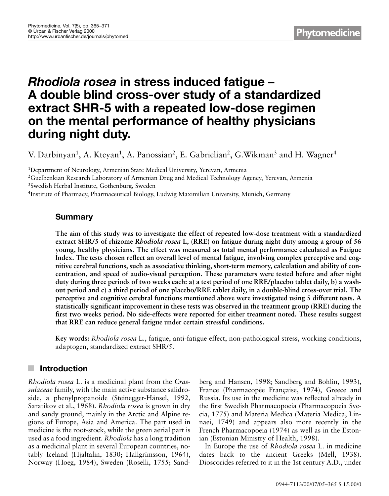# *Rhodiola rosea* **in stress induced fatigue – A double blind cross-over study of a standardized extract SHR-5 with a repeated low-dose regimen on the mental performance of healthy physicians during night duty.**

V. Darbinyan<sup>1</sup>, A. Kteyan<sup>1</sup>, A. Panossian<sup>2</sup>, E. Gabrielian<sup>2</sup>, G. Wikman<sup>3</sup> and H. Wagner<sup>4</sup>

<sup>1</sup>Department of Neurology, Armenian State Medical University, Yerevan, Armenia 2Guelbenkian Research Laboratory of Armenian Drug and Medical Technology Agency, Yerevan, Armenia 3Swedish Herbal Institute, Gothenburg, Sweden 4Institute of Pharmacy, Pharmaceutical Biology, Ludwig Maximilian University, Munich, Germany

# **Summary**

**The aim of this study was to investigate the effect of repeated low-dose treatment with a standardized extract SHR/5 of rhizome** *Rhodiola rosea* **L, (RRE) on fatigue during night duty among a group of 56 young, healthy physicians. The effect was measured as total mental performance calculated as Fatigue Index. The tests chosen reflect an overall level of mental fatigue, involving complex perceptive and cognitive cerebral functions, such as associative thinking, short-term memory, calculation and ability of concentration, and speed of audio-visual perception. These parameters were tested before and after night duty during three periods of two weeks each: a) a test period of one RRE/placebo tablet daily, b) a washout period and c) a third period of one placebo/RRE tablet daily, in a double-blind cross-over trial. The perceptive and cognitive cerebral functions mentioned above were investigated using 5 different tests. A statistically significant improvement in these tests was observed in the treatment group (RRE) during the first two weeks period. No side-effects were reported for either treatment noted. These results suggest that RRE can reduce general fatigue under certain stressful conditions.**

**Key words:** *Rhodiola rosea* L., fatigue, anti-fatigue effect, non-pathological stress, working conditions, adaptogen, standardized extract SHR/5.

# **Introduction**

*Rhodiola rosea* L. is a medicinal plant from the *Crassulaceae* family, with the main active substance salidroside, a phenylpropanoide (Steinegger-Hänsel, 1992, Saratikov et al., 1968). *Rhodiola rosea* is grown in dry and sandy ground, mainly in the Arctic and Alpine regions of Europe, Asia and America. The part used in medicine is the root-stock, while the green aerial part is used as a food ingredient. *Rhodiola* has a long tradition as a medicinal plant in several European countries, notably Iceland (Hjaltalin, 1830; Hallgrímsson, 1964), Norway (Hoeg, 1984), Sweden (Roselli, 1755; Sandberg and Hansen, 1998; Sandberg and Bohlin, 1993), France (Pharmacopée Française, 1974), Greece and Russia. Its use in the medicine was reflected already in the first Swedish Pharmacopoeia (Pharmacopoeia Svecia, 1775) and Materia Medica (Materia Medica, Linnaei, 1749) and appears also more recently in the French Pharmacopoeia (1974) as well as in the Estonian (Estonian Ministry of Health, 1998).

In Europe the use of *Rhodiola rosea* L. in medicine dates back to the ancient Greeks (Mell, 1938). Dioscorides referred to it in the 1st century A.D., under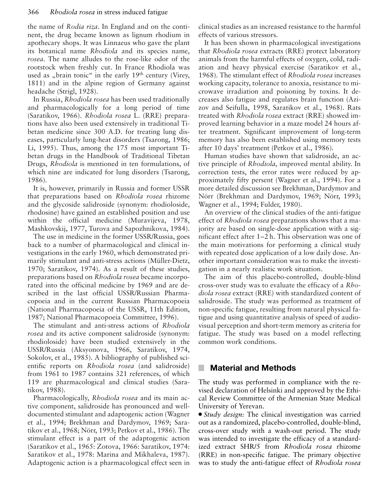the name of *Rodia riza*. In England and on the continent, the drug became known as lignum rhodium in apothecary shops. It was Linnaeus who gave the plant its botanical name *Rhodiola* and its species name, *rosea*. The name alludes to the rose-like odor of the rootstock when freshly cut. In France Rhodiola was used as "brain tonic" in the early  $19<sup>th</sup>$  century (Virey, 1811) and in the alpine region of Germany against headache (Strigl, 1928).

In Russia, *Rhodiola rosea* has been used traditionally and pharmacologically for a long period of time (Saratikov, 1966). *Rhodiola rosea* L. (RRE) preparations have also been used extensively in traditional Tibetan medicine since 300 A.D. for treating lung diseases, particularly lung-heat disorders (Tsarong, 1986; Li, 1995). Thus, among the 175 most important Tibetan drugs in the Handbook of Traditional Tibetan Drugs, *Rhodiola* is mentioned in ten formulations, of which nine are indicated for lung disorders (Tsarong, 1986).

It is, however, primarily in Russia and former USSR that preparations based on *Rhodiola rosea* rhizome and the glycoside salidroside (synonym: rhodioloside, rhodosine) have gained an established position and use within the official medicine (Muravijeva, 1978, Mashkovskij, 1977, Turova and Sapozhnikova, 1984).

The use in medicine in the former USSR/Russia, goes back to a number of pharmacological and clinical investigations in the early 1960, which demonstrated primarily stimulant and anti-stress actions (Müller-Dietz, 1970; Saratikov, 1974). As a result of these studies, preparations based on *Rhodiola rosea* became incorporated into the officinal medicine by 1969 and are described in the last official USSR/Russian Pharmacopoeia and in the current Russian Pharmacopoeia (National Pharmacopoeia of the USSR, 11th Edition, 1987; National Pharmacopoeia Committee, 1996).

The stimulant and anti-stress actions of *Rhodiola rosea* and its active component salidroside (synonym: rhodioloside) have been studied extensively in the USSR/Russia (Aksyonova, 1966, Saratikov, 1974, Sokolov, et al., 1985). A bibliography of published scientific reports on *Rhodiola rosea* (and salidroside) from 1961 to 1987 contains 321 references, of which 119 are pharmacological and clinical studies (Saratikov, 1988).

Pharmacologically, *Rhodiola rosea* and its main active component, salidroside has pronounced and welldocumented stimulant and adaptogenic action (Wagner et al., 1994; Brekhman and Dardymov, 1969; Saratikov et al., 1968; Nörr, 1993; Petkov et al., 1986). The stimulant effect is a part of the adaptogenic action (Saratikov et al., 1965: Zotova, 1966: Saratikov, 1974: Saratikov et al., 1978: Marina and Mikhaleva, 1987). Adaptogenic action is a pharmacological effect seen in

clinical studies as an increased resistance to the harmful effects of various stressors.

It has been shown in pharmacological investigations that *Rhodiola rosea* extracts (RRE) protect laboratory animals from the harmful effects of oxygen, cold, radiation and heavy physical exercise (Saratikov et al., 1968). The stimulant effect of *Rhodiola rosea* increases working capacity, tolerance to anoxia, resistance to microwave irradiation and poisoning by toxins. It decreases also fatigue and regulates brain function (Azizov and Seifulla, 1998, Saratikov et al., 1968). Rats treated with *Rhodiola rosea* extract (RRE) showed improved learning behavior in a maze model 24 hours after treatment. Significant improvement of long-term memory has also been established using memory tests after 10 days' treatment (Petkov et al., 1986).

Human studies have shown that salidroside, an active principle of *Rhodiola*, improved mental ability. In correction tests, the error rates were reduced by approximately fifty persent (Wagner et al., 1994). For a more detailed discussion see Brekhman, Dardymov and Nörr (Brekhman and Dardymov, 1969; Nörr, 1993; Wagner et al., 1994; Fulder, 1980).

An overview of the clinical studies of the anti-fatigue effect of *Rhodiola rosea* preparations shows that a majority are based on single-dose application with a significant effect after 1–2 h. This observation was one of the main motivations for performing a clinical study with repeated dose application of a low daily dose. Another important consideration was to make the investigation in a nearly realistic work situation.

The aim of this placebo-controlled, double-blind cross-over study was to evaluate the efficacy of a *Rhodiola rosea* extract (RRE) with standardized content of salidroside. The study was performed as treatment of non-specific fatigue, resulting from natural physical fatigue and using quantitative analysis of speed of audiovisual perception and short-term memory as criteria for fatigue. The study was based on a model reflecting common work conditions.

# **Material and Methods**

The study was performed in compliance with the revised declaration of Helsinki and approved by the Ethical Review Committee of the Armenian State Medical University of Yerevan.

• *Study design:* The clinical investigation was carried out as a randomized, placebo-controlled, double-blind, cross-over study with a wash-out period. The study was intended to investigate the efficacy of a standardized extract SHR/5 from *Rhodiola rosea* rhizome (RRE) in non-specific fatigue. The primary objective was to study the anti-fatigue effect of *Rhodiola rosea*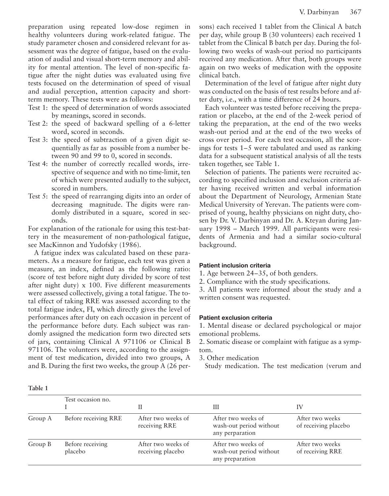preparation using repeated low-dose regimen in healthy volunteers during work-related fatigue. The study parameter chosen and considered relevant for assessment was the degree of fatigue, based on the evaluation of audial and visual short-term memory and ability for mental attention. The level of non-specific fatigue after the night duties was evaluated using five tests focused on the determination of speed of visual and audial perception, attention capacity and shortterm memory. These tests were as follows:

- Test 1: the speed of determination of words associated by meanings, scored in seconds.
- Test 2: the speed of backward spelling of a 6-letter word, scored in seconds.
- Test 3: the speed of subtraction of a given digit sequentially as far as possible from a number between 90 and 99 to 0, scored in seconds.
- Test 4: the number of correctly recalled words, irrespective of sequence and with no time-limit, ten of which were presented audially to the subject, scored in numbers.
- Test 5: the speed of rearranging digits into an order of decreasing magnitude. The digits were randomly distributed in a square, scored in seconds.

For explanation of the rationale for using this test-battery in the measurement of non-pathological fatigue, see MacKinnon and Yudofsky (1986).

A fatigue index was calculated based on these parameters. As a measure for fatigue, each test was given a measure, an index, defined as the following ratio: (score of test before night duty divided by score of test after night duty) x 100. Five different measurements were assessed collectively, giving a total fatigue. The total effect of taking RRE was assessed according to the total fatigue index, FI, which directly gives the level of performances after duty on each occasion in percent of the performance before duty. Each subject was randomly assigned the medication form two directed sets of jars, containing Clinical A 971106 or Clinical B 971106. The volunteers were, according to the assignment of test medication, divided into two groups, A and B. During the first two weeks, the group A (26 persons) each received 1 tablet from the Clinical A batch per day, while group B (30 volunteers) each received 1 tablet from the Clinical B batch per day. During the following two weeks of wash-out period no participants received any medication. After that, both groups were again on two weeks of medication with the opposite clinical batch.

Determination of the level of fatigue after night duty was conducted on the basis of test results before and after duty, i.e., with a time difference of 24 hours.

Each volunteer was tested before receiving the preparation or placebo, at the end of the 2-week period of taking the preparation, at the end of the two weeks wash-out period and at the end of the two weeks of cross over period. For each test occasion, all the scorings for tests 1–5 were tabulated and used as ranking data for a subsequent statistical analysis of all the tests taken together, see Table 1.

Selection of patients. The patients were recruited according to specified inclusion and exclusion criteria after having received written and verbal information about the Department of Neurology, Armenian State Medical University of Yerevan. The patients were comprised of young, healthy physicians on night duty, chosen by Dr. V. Darbinyan and Dr. A. Kteyan during January 1998 – March 1999. All participants were residents of Armenia and had a similar socio-cultural background.

#### **Patient inclusion criteria**

1. Age between 24–35, of both genders.

2. Compliance with the study specifications.

3. All patients were informed about the study and a written consent was requested.

#### **Patient exclusion criteria**

1. Mental disease or declared psychological or major emotional problems.

2. Somatic disease or complaint with fatigue as a symptom.

3. Other medication

Study medication. The test medication (verum and

|         | Test occasion no.           |                                         | Ш                                                                | IV                                      |
|---------|-----------------------------|-----------------------------------------|------------------------------------------------------------------|-----------------------------------------|
| Group A | Before receiving RRE        | After two weeks of<br>receiving RRE     | After two weeks of<br>wash-out period without<br>any perparation | After two weeks<br>of receiving placebo |
| Group B | Before receiving<br>placebo | After two weeks of<br>receiving placebo | After two weeks of<br>wash-out period without<br>any preparation | After two weeks<br>of receiving RRE     |

## **Table 1**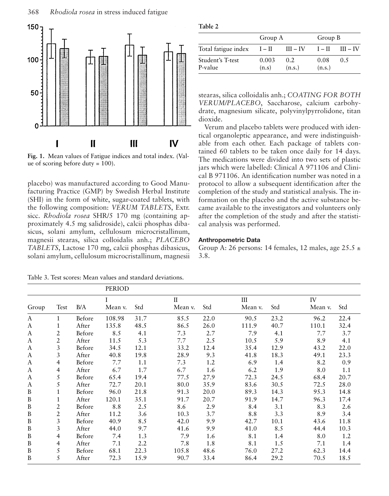

**Fig. 1.** Mean values of Fatigue indices and total index. (Value of scoring before duty = 100).

placebo) was manufactured according to Good Manufacturing Practice (GMP) by Swedish Herbal Institute (SHI) in the form of white, sugar-coated tablets, with the following composition: *VERUM TABLETS*, Extr. sicc. *Rhodiola rosea* SHR/5 170 mg (containing approximately 4.5 mg salidroside), calcii phosphas dibasicus, solani amylum, cellulosum microcristallinum, magnesii stearas, silica colloidalis anh.; *PLACEBO TABLETS*, Lactose 170 mg, calcii phosphas dibasicus, solani amylum, cellulosum microcristallinum, magnesii

Table 3. Test scores: Mean values and standard deviations.

| п<br>ш<br>11<br>.,<br>ъ. |  |
|--------------------------|--|
|--------------------------|--|

|                              | Group A        |                | Group B        |            |  |
|------------------------------|----------------|----------------|----------------|------------|--|
| Total fatigue index $I - II$ |                | $III - IV$     | $I - II$       | $III - IV$ |  |
| Student's T-test<br>P-value  | 0.003<br>(n.s) | 0.2.<br>(n.s.) | 0.08<br>(n.s.) | 0.5        |  |

stearas, silica colloidalis anh.; *COATING FOR BOTH VERUM/PLACEBO*, Saccharose, calcium carbohydrate, magnesium silicate, polyvinylpyrrolidone, titan dioxide.

Verum and placebo tablets were produced with identical organoleptic appearance, and were indistinguishable from each other. Each package of tablets contained 60 tablets to be taken once daily for 14 days. The medications were divided into two sets of plastic jars which were labelled: Clinical A 971106 and Clinical B 971106. An identification number was noted in a protocol to allow a subsequent identification after the completion of the study and statistical analysis. The information on the placebo and the active substance became available to the investigators and volunteers only after the completion of the study and after the statistical analysis was performed.

#### **Anthropometric Data**

Group A: 26 persons: 14 females, 12 males, age  $25.5 \pm$ 3.8.

|       |                |        | PERIOD  |      |              |      |         |      |         |      |
|-------|----------------|--------|---------|------|--------------|------|---------|------|---------|------|
|       |                |        |         |      | $\mathbf{I}$ |      | Ш       |      | IV      |      |
| Group | Test           | B/A    | Mean v. | Std  | Mean v.      | Std  | Mean v. | Std  | Mean v. | Std  |
| A     | 1              | Before | 108.98  | 31.7 | 85.5         | 22.0 | 90.5    | 23.2 | 96.2    | 22.4 |
| A     | 1              | After  | 135.8   | 48.5 | 86.5         | 26.0 | 111.9   | 40.7 | 110.1   | 32.4 |
| A     | 2              | Before | 8.5     | 4.1  | 7.3          | 2.7  | 7.9     | 4.1  | 7.7     | 3.7  |
| A     | $\overline{2}$ | After  | 11.5    | 5.3  | 7.7          | 2.5  | 10.5    | 5.9  | 8.9     | 4.1  |
| A     | 3              | Before | 34.5    | 12.1 | 33.2         | 12.4 | 35.4    | 12.9 | 43.2    | 22.0 |
| A     | 3              | After  | 40.8    | 19.8 | 28.9         | 9.3  | 41.8    | 18.3 | 49.1    | 23.3 |
| A     | 4              | Before | 7.7     | 1.1  | 7.3          | 1.2  | 6.9     | 1.4  | 8.2     | 0.9  |
| A     | 4              | After  | 6.7     | 1.7  | 6.7          | 1.6  | 6.2     | 1.9  | 8.0     | 1.1  |
| A     | 5              | Before | 65.4    | 19.4 | 77.5         | 27.9 | 72.3    | 24.5 | 68.4    | 20.7 |
| A     | 5              | After  | 72.7    | 20.1 | 80.0         | 35.9 | 83.6    | 30.5 | 72.5    | 28.0 |
| B     |                | Before | 96.0    | 21.8 | 91.3         | 20.0 | 89.3    | 14.3 | 95.3    | 14.8 |
| B     | 1              | After  | 120.1   | 35.1 | 91.7         | 20.7 | 91.9    | 14.7 | 96.3    | 17.4 |
| B     | 2              | Before | 8.8     | 2.5  | 8.6          | 2.9  | 8.4     | 3.1  | 8.3     | 2.6  |
| B     | 2              | After  | 11.2    | 3.6  | 10.3         | 3.7  | 8.8     | 3.3  | 8.9     | 3.4  |
| B     | 3              | Before | 40.9    | 8.5  | 42.0         | 9.9  | 42.7    | 10.1 | 43.6    | 11.8 |
| B     | 3              | After  | 44.0    | 9.7  | 41.6         | 9.9  | 41.0    | 8.5  | 44.4    | 10.3 |
| B     | 4              | Before | 7.4     | 1.3  | 7.9          | 1.6  | 8.1     | 1.4  | 8.0     | 1.2  |
| B     | 4              | After  | 7.1     | 2.2  | 7.8          | 1.8  | 8.1     | 1.5  | 7.1     | 1.4  |
| B     | 5              | Before | 68.1    | 22.3 | 105.8        | 48.6 | 76.0    | 27.2 | 62.3    | 14.4 |
| B     | 5              | After  | 72.3    | 15.9 | 90.7         | 33.4 | 86.4    | 29.2 | 70.5    | 18.5 |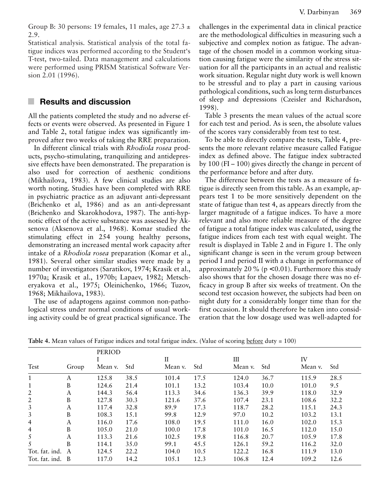Group B: 30 persons: 19 females, 11 males, age  $27.3 \pm$ 2.9.

Statistical analysis. Statistical analysis of the total fatigue indices was performed according to the Student's T-test, two-tailed. Data management and calculations were performed using PRISM Statistical Software Version 2.01 (1996).

## **Results and discussion**

All the patients completed the study and no adverse effects or events were observed. As presented in Figure 1 and Table 2, total fatigue index was significantly improved after two weeks of taking the RRE preparation.

In different clinical trials with *Rhodiola rosea* products, psycho-stimulating, tranquilizing and antidepressive effects have been demonstrated. The preparation is also used for correction of aesthenic conditions (Mikhailova, 1983). A few clinical studies are also worth noting. Studies have been completed with RRE in psychiatric practice as an adjuvant anti-depressant (Brichenko et al, 1986) and as an anti-depressant (Brichenko and Skarokhodova, 1987). The anti-hypnotic effect of the active substance was assessed by Aksenova (Aksenova et al., 1968). Komar studied the stimulating effect in 254 young healthy persons, demonstrating an increased mental work capacity after intake of a *Rhodiola rosea* preparation (Komar et al., 1981). Several other similar studies were made by a number of investigators (Saratikov, 1974; Krasik et al., 1970a; Krasik et al., 1970b; Lapaev, 1982; Metscheryakova et al., 1975; Oleinichenko, 1966; Tuzov, 1968; Mikhailova, 1983).

The use of adaptogens against common non-pathological stress under normal conditions of usual working activity could be of great practical significance. The challenges in the experimental data in clinical practice are the methodological difficulties in measuring such a subjective and complex notion as fatigue. The advantage of the chosen model in a common working situation causing fatigue were the similarity of the stress situation for all the participants in an actual and realistic work situation. Regular night duty work is well known to be stressful and to play a part in causing various pathological conditions, such as long term disturbances of sleep and depressions (Czeisler and Richardson, 1998).

Table 3 presents the mean values of the actual score for each test and period. As is seen, the absolute values of the scores vary considerably from test to test.

To be able to directly compare the tests, Table 4, presents the more relevant relative measure called Fatigue index as defined above. The fatigue index subtracted by 100 (FI – 100) gives directly the change in percent of the performance before and after duty.

The difference between the tests as a measure of fatigue is directly seen from this table. As an example, appears test 1 to be more sensitively dependent on the state of fatigue than test 4, as appears directly from the larger magnitude of a fatigue indices. To have a more relevant and also more reliable measure of the degree of fatigue a total fatigue index was calculated, using the fatigue indices from each test with equal weight. The result is displayed in Table 2 and in Figure 1. The only significant change is seen in the verum group between period I and period II with a change in performance of approximately 20 % ( $p < 0.01$ ). Furthermore this study also shows that for the chosen dosage there was no efficacy in group B after six weeks of treatment. On the second test occasion however, the subjects had been on night duty for a considerably longer time than for the first occasion. It should therefore be taken into consideration that the low dosage used was well-adapted for

|                |       | <b>PERIOD</b> |      |             |      |         |      |         |      |
|----------------|-------|---------------|------|-------------|------|---------|------|---------|------|
|                |       |               |      | $_{\rm II}$ |      | Ш       |      | IV      |      |
| Test           | Group | Mean v.       | Std  | Mean v.     | Std  | Mean v. | Std  | Mean v. | Std  |
| $\mathbf{1}$   | А     | 125.8         | 38.5 | 101.4       | 17.5 | 124.0   | 36.7 | 115.9   | 28.5 |
| 1              | B     | 124.6         | 21.4 | 101.1       | 13.2 | 103.4   | 10.0 | 101.0   | 9.5  |
| 2              | А     | 144.3         | 56.4 | 113.3       | 34.6 | 136.3   | 39.9 | 118.0   | 32.9 |
| 2              | B     | 127.8         | 30.3 | 121.6       | 37.6 | 107.4   | 23.1 | 108.6   | 32.2 |
| 3              | A     | 117.4         | 32.8 | 89.9        | 17.3 | 118.7   | 28.2 | 115.1   | 24.3 |
| 3              | B     | 108.3         | 15.1 | 99.8        | 12.9 | 97.0    | 10.2 | 103.2   | 13.1 |
| $\overline{4}$ | А     | 116.0         | 17.6 | 108.0       | 19.5 | 111.0   | 16.0 | 102.0   | 15.3 |
| $\overline{4}$ | B     | 105.0         | 21.0 | 100.0       | 17.8 | 101.0   | 16.5 | 112.0   | 15.0 |
| 5              | А     | 113.3         | 21.6 | 102.5       | 19.8 | 116.8   | 20.7 | 105.9   | 17.8 |
| 5              | B     | 114.1         | 35.0 | 99.1        | 45.5 | 126.1   | 59.2 | 116.2   | 32.0 |
| Tot. fat. ind. | A     | 124.5         | 22.2 | 104.0       | 10.5 | 122.2   | 16.8 | 111.9   | 13.0 |
| Tot. fat. ind. | B     | 117.0         | 14.2 | 105.1       | 12.3 | 106.8   | 12.4 | 109.2   | 12.6 |

**Table 4.** Mean values of Fatigue indices and total fatigue index. (Value of scoring before duty = 100)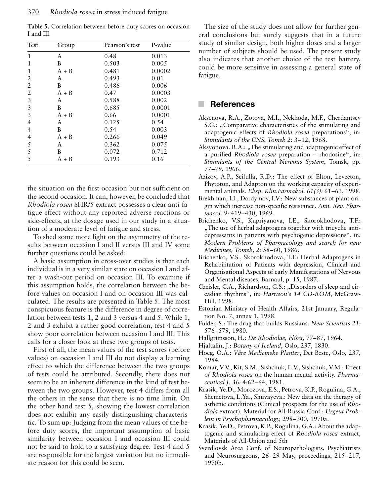| Test | Group   | Pearson's test | P-value |
|------|---------|----------------|---------|
| 1    | A       | 0.48           | 0.013   |
| 1    | B       | 0.503          | 0.005   |
|      | $A + B$ | 0.481          | 0.0002  |
| 2    | A       | 0.493          | 0.01    |
| 2    | B       | 0.486          | 0.006   |
| 2    | $A + B$ | 0.47           | 0.0003  |
| 3    | A       | 0.588          | 0.002   |
| 3    | B       | 0.685          | 0.0001  |
| 3    | $A + B$ | 0.66           | 0.0001  |
| 4    | A       | 0.125          | 0.54    |
| 4    | B       | 0.54           | 0.003   |
| 4    | $A + B$ | 0.266          | 0.049   |
| 5    | A       | 0.362          | 0.075   |
| 5    | B       | 0.072          | 0.712   |
| 5    | $A + B$ | 0.193          | 0.16    |

**Table 5.** Correlation between before-duty scores on occasion I and III.

the situation on the first occasion but not sufficient on the second occasion. It can, however, be concluded that *Rhodiola rosea* SHR/5 extract possesses a clear anti-fatigue effect without any reported adverse reactions or side-effects, at the dosage used in our study in a situation of a moderate level of fatigue and stress.

To shed some more light on the asymmetry of the results between occasion I and II versus III and IV some further questions could be asked:

A basic assumption in cross-over studies is that each individual is in a very similar state on occasion I and after a wash-out period on occasion III. To examine if this assumption holds, the correlation between the before-values on occasion I and on occasion III was calculated. The results are presented in Table 5. The most conspicuous feature is the difference in degree of correlation between tests 1, 2 and 3 versus 4 and 5. While 1, 2 and 3 exhibit a rather good correlation, test 4 and 5 show poor correlation between occasion I and III. This calls for a closer look at these two groups of tests.

First of all, the mean values of the test scores (before values) on occasion I and III do not display a learning effect to which the difference between the two groups of tests could be attributed. Secondly, there does not seem to be an inherent difference in the kind of test between the two groups. However, test 4 differs from all the others in the sense that there is no time limit. On the other hand test 5, showing the lowest correlation does not exhibit any easily distinguishing characteristic. To sum up: Judging from the mean values of the before duty scores, the important assumption of basic similarity between occasion I and occasion III could not be said to hold to a satisfying degree. Test 4 and 5 are responsible for the largest variation but no immediate reason for this could be seen.

The size of the study does not allow for further general conclusions but surely suggests that in a future study of similar design, both higher doses and a larger number of subjects should be used. The present study also indicates that another choice of the test battery, could be more sensitive in assessing a general state of fatigue.

### **References**

- Aksenova, R.A., Zotova, M.I., Nekhoda, M.F., Cherdantsev S.G.: "Comparative characteristics of the stimulating and adaptogenic effects of *Rhodiola rosea* preparations", in: *Stimulants of the CNS*, *Tomsk 2:* 3–12, 1968.
- Aksyonova. R.A.: "The stimulating and adaptogenic effect of a purified *Rhodiola rosea* preparation – rhodosine", in: *Stimulants of the Central Nervous System*, Tomsk, pp. 77–79, 1966.
- Azizov, A.P., Seifulla, R.D.: The effect of Elton, Leveeton, Phytoton, and Adapton on the working capacity of experimental animals. *Eksp. Klin.Farmakol. 61(3):* 61–63, 1998.
- Brekhman, I.I., Dardymov, I.V.: New substances of plant origin which increase non-specific resistance. *Ann. Rev. Pharmacol. 9:* 419–430, 1969.
- Brichenko, V.S., Kupriyanova, I.E., Skorokhodova, T.F.: "The use of herbal adaptogens together with tricyclic antidepressants in patients with psychogenic depressions", in*: Modern Problems of Pharmacology and search for new Medicines, Tomsk, 2:* 58–60, 1986.
- Brichenko, V.S., Skorokhodova, T.F.: Herbal Adaptogens in Rehabilitation of Patients with depression, Clinical and Organisational Aspects of early Manifestations of Nervous and Mental diseases, Barnaul, p. 15, 1987.
- Czeisler, C.A., Richardson, G.S.: "Disorders of sleep and circadian rhythms", in: *Harrison's 14 CD-ROM*, McGraw-Hill, 1998.
- Estonian Ministry of Health Affairs, 21st January, Regulation No. 7, annex 1, 1998.
- Fulder, S.: The drug that builds Russians. *New Scientists 21:* 576–579, 1980.
- Hallgrímsson, H.: *De Rhodiolae, Flóra,* 77–87, 1964.
- Hjaltalin, J.: *Botany of Iceland*, Oslo, 237, 1830.
- Hoeg, O.A.: *Våre Medicinske Planter*, Det Beste, Oslo, 237, 1984.
- Komar, V.V., Kit, S.M., Sishchuk, L.V., Sishchuk, V.M.: Effect *of Rhodiola rosea* on the human mental activity. *Pharmaceutical J. 36:* 4:62–64, 1981.
- Krasik, Ye.D., Morozova, E.S., Petrova, K.P., Rogulina, G.A., Shemetova, L.Ya., Shuvayeva.: New data on the therapy of asthenic conditions (Clinical prospects for the use of *Rhodiola* extract). Material for All-Russia Conf.: *Urgent Problem in Psychopharmacology,* 298–300, 1970a.
- Krasik, Ye.D., Petrova, K.P., Rogulina, G.A.: About the adaptogenic and stimulating effect of *Rhodiola rosea* extract, Materials of All-Union and 5th
- Sverdlovsk Area Conf. of Neuropathologists, Psychiatrists and Neurosurgeons, 26–29 May, proceedings, 215–217, 1970b.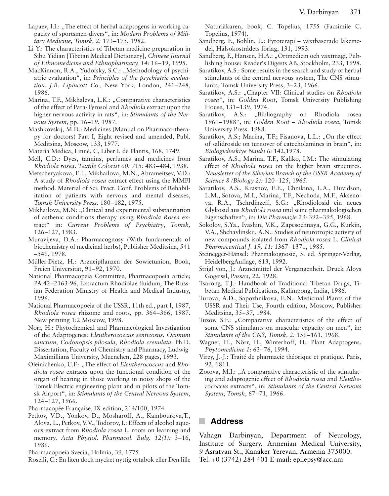- Lapaev, I.I.:  $\sqrt{n}$ . The effect of herbal adaptogens in working capacity of sportsmen-divers", in: *Modern Problems of Military Medicine, Tomsk, 2:* 173–175, 1982.
- Li Y.: The characteristics of Tibetan medicine preparation in Sibu Yidian [Tibetan Medical Dictionary], *Chinese Journal of Ethnomedicine and Ethnopharmacy, 14:* 16–19, 1995.
- MacKinnon, R.A., Yudofsky, S.C.: "Methodology of psychiatric evaluation", in: *Principles of the psychiatric evaluation. J.B. Lipincott Co.,* New York, London, 241–248, 1986.
- Marina, T.F., Mikhaleva, L.K.: "Comparative characteristics of the effect of Para-Tyrosol and *Rhodiola* extract upon the higher nervous activity in rats", in: *Stimulants of the Nervous System,* pp. 16–19, 1987.
- Mashkovskij, M.D.: Medicines (Manual on Pharmaco-therapy for doctors) Part I, Eight revised and amended, Publ. Meditsina, Moscow, 133, 1977.
- Materia Medica, Linné, C, Liber I. de Plantis, 168, 1749.
- Mell, C.D.: Dyes, tannins, perfumes and medicines from *Rhodiola rosea*. *Textile Colorist 60:* 715: 483–484, 1938.
- Metscheryakova, E.I., Mikhailova, M.N., Abrameitsev, V.D.: A study of *Rhodiola rosea* extract effect using the MMPI method. Material of Sci. Pract. Conf. Problems of Rehabilitation of patients with nervous and mental diseases, *Tomsk University Press,* 180–182, 1975.
- Mikhailova, M.N: "Clinical and experimental substantiation of asthenic conditions therapy using *Rhodiola Rosea* extract" in: *Current Problems of Psychiatry*, *Tomsk,* 126–127, 1983.
- Muravijeva, D.A.: Pharmacognosy (With fundamentals of biochemistry of medicinal herbs), Publisher Meditsina, 541 –546, 1978.
- Müller-Dietz, H.: Arzneipflanzen der Sowietunion, Book, Freien Universität, 91–92, 1970.
- National Pharmacopeia Committee, Pharmacopoeia article; PA 42–2163-96, Extractum Rhodiolae fluidum, The Russian Federation Ministry of Health and Medical Industry, 1996.
- National Pharmacopoeia of the USSR, 11th ed., part I, 1987, *Rhodiola rosea* rhizome and roots, pp. 364–366, 1987. New printing 1:2 Moscow, 1998.
- Nörr, H.: Phytochemical and Pharmacological Investigation of the Adaptogenes: *Eleutherococcus senticosus*, *Ocimum sanctum, Codonopsis pilosula*, *Rhodiola crenulata*. Ph.D. Dissertation, Faculty of Chemistry and Pharmacy, Ludwig-Maximillians University, Muenchen, 228 pages, 1993.
- Oleinichenko, U.F.: "The effect of *Eleutherococcus* and *Rhodiola rosea* extracts upon the functional condition of the organ of hearing in those working in noisy shops of the Tomsk Electric engineering plant and in pilots of the Tomsk Airport", in: *Stimulants of the Central Nervous System*, 124–127, 1966.
- Pharmacopée Française, IX edition, 214/100, 1974.
- Petkov, V.D., Yonkov, D., Mosharoff, A., Kambourova,T., Alova, L., Petkov, V.V., Todorov, I.: Effects of alcohol aqueous extract from *Rhodiola rosea* L. roots on learning and memory. *Acta Physiol. Pharmacol. Bulg. 12(1):* 3–16, 1986.

Pharmacopoeia Svecia, Holmia, 39, 1775.

Roselli, C.: En liten dock mycket nyttig örtabok eller Den lille

Naturläkaren, book, C. Topelius, 1755 (Facsimile C. Topelius, 1974).

- Sandberg, F., Bohlin, L.: Fytoterapi växtbaserade läkemedel, Hälsokostrådets förlag, 131, 1993.
- Sandberg, F., Hansen, H.A.: "Örtmedicin och växtmagi, Publishing house: Reader's Digests AB, Stockholm, 233, 1998.
- Saratikov, A.S.: Some results in the search and study of herbal stimulants of the central nervous system, The CNS stimulants, Tomsk University Press, 3–23, 1966.
- Saratikov, A.S.: "Chapter VII: Clinical studies on *Rhodiola rosea*", in: *Golden Root*, Tomsk University Publishing House, 131–139, 1974.
- Saratikov, A.S.: "Bibliography on Rhodiola rosea 1961–1988", in*: Golden Root – Rhodiola rosea*, Tomsk University Press. 1988.
- Saratikov, A.S.; Marina, T.F.; Fisanova, L.L.: "On the effect of salidroside on turnover of catecholamines in brain", in: *Biologicheskiye Nauki 6:* 142,1978.
- Saratikov, A.S., Marina, T.F., Kaliko, I.M.: The stimulating effect of *Rhodiola rosea* on the higher brain structures. *Newsletter of the Siberian Branch of the USSR Academy of Science 8 (Biology 2):* 120–125, 1965.
- Saratikov, A.S., Krasnov, E.E., Chnikina, L.A., Duvidson, L.M., Sotova, M.I., Marina, T.F., Nechoda, M.F., Aksenova, R.A., Tschrdinzeff, S.G.: "Rhodiolosid ein neues Glykosid aus *Rhodiola rosea* und seine pharmakologischen Eigenschaften", in: *Die Pharmazie 23:* 392–395, 1968.
- Sokolov, S.Ya., Ivashin, V.K., Zapesochnaya, G.G., Kurkin, V.A., Shchavlinskii, A.N.: Studies of neurotropic activity of new compounds isolated from *Rhodiola rosea* L. *Clinical Pharmaceutical J. 19, 11:* 1367–1371, 1985.
- Steinegger-Hänsel: Pharmakognosie, 5. ed. Springer-Verlag, HeidelbergAuflage, 613, 1992.
- Strigl von, J.: Arzneimittel der Vergangenheit. Druck Aloys Gogeissl, Passau, 22, 1928.
- Tsarong, T.J.: Handbook of Traditional Tibetan Drugs, Tibetan Medical Publications, Kalimpong, India, 1986.
- Turova, A.D., Sapozhnikova, E.N.: Medicinal Plants of the USSR and Their Use, Fourth edition, Moscow, Publisher Meditsina, 35–37, 1984.
- Tuzov, S.F.: "Comparative characteristics of the effect of some CNS stimulants on muscular capacity on men", in*: Stimulants of the CNS, Tomsk, 2:* 156–161, 1968.
- Wagner, H., Nörr, H., Winterhoff, H.: Plant Adaptogens. *Phytomedicine 1:* 63–76, 1994.
- Virey, J.-J.: Traité de pharmacie théorique et pratique. Paris, 92, 1811.
- Zotova, M.I.: "A comparative characteristic of the stimulating and adaptogenic effect of *Rhodiola rosea* and *Eleutherococcus* extracts", in: *Stimulants of the Central Nervous System*, *Tomsk*, 67–71, 1966.

## **Address**

Vahagn Darbinyan, Department of Neurology, Institute of Surgery, Armenian Medical University, 9 Asratyan St., Kanaker Yerevan, Armenia 375000. Tel. +0 (3742) 284 401 E-mail: epilepsy@acc.am